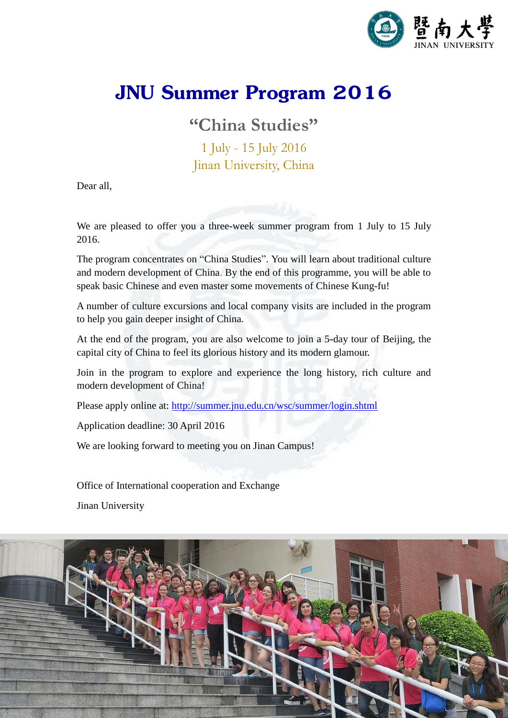

# **JNU Summer Program 2016**

**"China Studies"**

1 July - 15 July 2016 Jinan University, China

Dear all,

We are pleased to offer you a three-week summer program from 1 July to 15 July 2016.

The program concentrates on "China Studies". You will learn about traditional culture and modern development of China. By the end of this programme, you will be able to speak basic Chinese and even master some movements of Chinese Kung-fu!

A number of culture excursions and local company visits are included in the program to help you gain deeper insight of China.

At the end of the program, you are also welcome to join a 5-day tour of Beijing, the capital city of China to feel its glorious history and its modern glamour.

Join in the program to explore and experience the long history, rich culture and modern development of China!

Please apply online at:<http://summer.jnu.edu.cn/wsc/summer/login.shtml>

Application deadline: 30 April 2016

We are looking forward to meeting you on Jinan Campus!

Office of International cooperation and Exchange

Jinan University

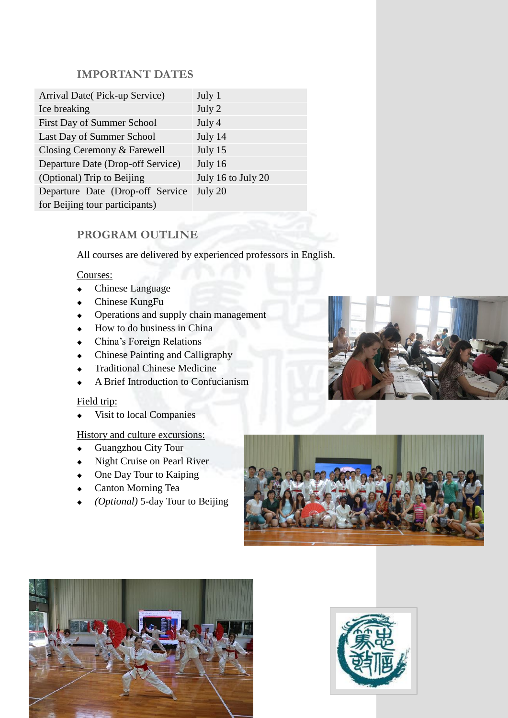## **IMPORTANT DATES**

| Arrival Date(Pick-up Service)     | July 1             |
|-----------------------------------|--------------------|
| Ice breaking                      | July 2             |
| First Day of Summer School        | July 4             |
| Last Day of Summer School         | July 14            |
| Closing Ceremony & Farewell       | July 15            |
| Departure Date (Drop-off Service) | July 16            |
| (Optional) Trip to Beijing        | July 16 to July 20 |
| Departure Date (Drop-off Service  | July 20            |
| for Beijing tour participants)    |                    |

# **PROGRAM OUTLINE**

All courses are delivered by experienced professors in English.

#### Courses:

- Chinese Language
- Chinese KungFu
- Operations and supply chain management
- $\leftarrow$  How to do business in China
- China's Foreign Relations
- Chinese Painting and Calligraphy
- Traditional Chinese Medicine
- A Brief Introduction to Confucianism

#### Field trip:

Visit to local Companies

#### History and culture excursions:

- Guangzhou City Tour
- Night Cruise on Pearl River
- One Day Tour to Kaiping
- Canton Morning Tea
- *(Optional)* 5-day Tour to Beijing







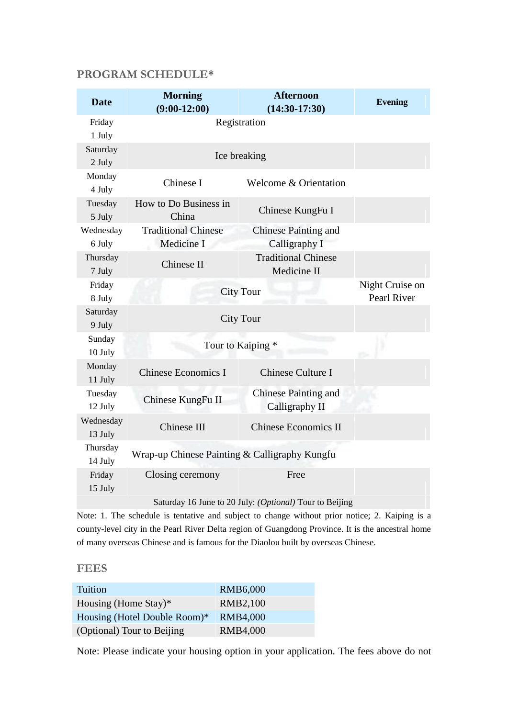## **PROGRAM SCHEDULE\***

| <b>Date</b>                                             | <b>Morning</b><br>$(9:00-12:00)$              | <b>Afternoon</b><br>$(14:30-17:30)$           | <b>Evening</b>                 |  |
|---------------------------------------------------------|-----------------------------------------------|-----------------------------------------------|--------------------------------|--|
| Friday<br>1 July                                        | Registration                                  |                                               |                                |  |
| Saturday<br>2 July                                      | Ice breaking                                  |                                               |                                |  |
| Monday<br>4 July                                        | Chinese I                                     | Welcome & Orientation                         |                                |  |
| Tuesday<br>5 July                                       | How to Do Business in<br>China                | Chinese KungFu I                              |                                |  |
| Wednesday<br>6 July                                     | <b>Traditional Chinese</b><br>Medicine I      | <b>Chinese Painting and</b><br>Calligraphy I  |                                |  |
| Thursday<br>7 July                                      | Chinese II                                    | <b>Traditional Chinese</b><br>Medicine II     |                                |  |
| Friday<br>8 July                                        | <b>City Tour</b>                              |                                               | Night Cruise on<br>Pearl River |  |
| Saturday<br>9 July                                      | <b>City Tour</b>                              |                                               |                                |  |
| Sunday<br>10 July                                       | Tour to Kaiping *                             |                                               |                                |  |
| Monday<br>11 July                                       | <b>Chinese Economics I</b>                    | <b>Chinese Culture I</b>                      |                                |  |
| Tuesday<br>12 July                                      | Chinese KungFu II                             | <b>Chinese Painting and</b><br>Calligraphy II |                                |  |
| Wednesday<br>13 July                                    | Chinese III                                   | <b>Chinese Economics II</b>                   |                                |  |
| Thursday<br>14 July                                     | Wrap-up Chinese Painting & Calligraphy Kungfu |                                               |                                |  |
| Friday<br>15 July                                       | Closing ceremony                              | Free                                          |                                |  |
| Saturday 16 June to 20 July: (Optional) Tour to Beijing |                                               |                                               |                                |  |

Note: 1. The schedule is tentative and subject to change without prior notice; 2. Kaiping is a county-level city in the Pearl River Delta region of Guangdong Province. It is the ancestral home of many overseas Chinese and is famous for the Diaolou built by overseas Chinese.

#### **FEES**

| Tuition                      | RMB6,000        |
|------------------------------|-----------------|
| Housing (Home Stay)*         | <b>RMB2,100</b> |
| Housing (Hotel Double Room)* | <b>RMB4,000</b> |
| (Optional) Tour to Beijing   | <b>RMB4,000</b> |

Note: Please indicate your housing option in your application. The fees above do not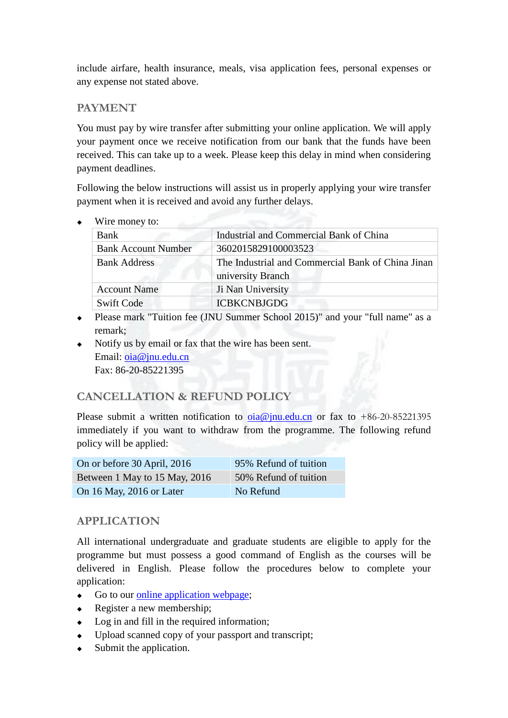include airfare, health insurance, meals, visa application fees, personal expenses or any expense not stated above.

#### **PAYMENT**

You must pay by wire transfer after submitting your online application. We will apply your payment once we receive notification from our bank that the funds have been received. This can take up to a week. Please keep this delay in mind when considering payment deadlines.

Following the below instructions will assist us in properly applying your wire transfer payment when it is received and avoid any further delays.

 $\triangle$  Wire money to:

| Bank                       | Industrial and Commercial Bank of China           |  |
|----------------------------|---------------------------------------------------|--|
| <b>Bank Account Number</b> | 3602015829100003523                               |  |
| <b>Bank Address</b>        | The Industrial and Commercial Bank of China Jinan |  |
|                            | university Branch                                 |  |
| <b>Account Name</b>        | Ji Nan University                                 |  |
| <b>Swift Code</b>          | <b>ICBKCNBJGDG</b>                                |  |

- Please mark "Tuition fee (JNU Summer School 2015)" and your "full name" as a remark;
- Notify us by email or fax that the wire has been sent. Email: <u>oia@jnu.edu.cn</u> Fax: 86-20-85221395

## **CANCELLATION & REFUND POLICY**

Please submit a written notification to  $oia@jnu.edu.cn$  or fax to +86-20-85221395 immediately if you want to withdraw from the programme. The following refund policy will be applied:

| On or before 30 April, 2016   | 95% Refund of tuition |
|-------------------------------|-----------------------|
| Between 1 May to 15 May, 2016 | 50% Refund of tuition |
| On 16 May, 2016 or Later      | No Refund             |

# **APPLICATION**

All international undergraduate and graduate students are eligible to apply for the programme but must possess a good command of English as the courses will be delivered in English. Please follow the procedures below to complete your application:

- Go to our [online application webpage;](http://summer.jnu.edu.cn/wsc/summer/login.shtml)
- Register a new membership;
- Log in and fill in the required information;
- Upload scanned copy of your passport and transcript;
- Submit the application.